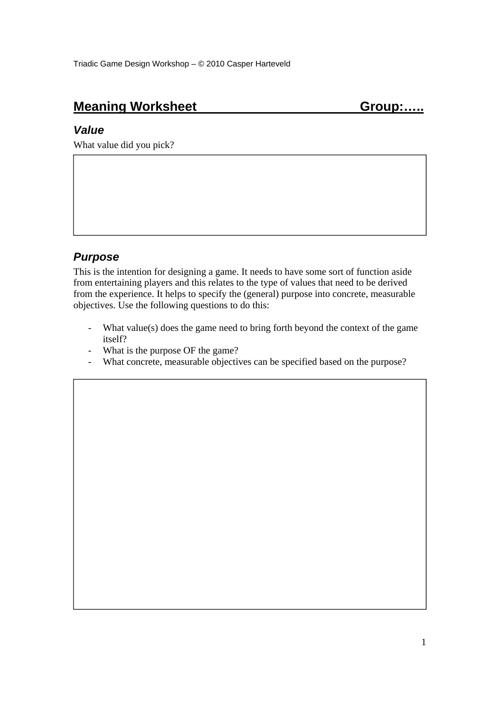# **Meaning Worksheet Group:.....** Group:.....

#### *Value*

What value did you pick?

#### *Purpose*

This is the intention for designing a game. It needs to have some sort of function aside from entertaining players and this relates to the type of values that need to be derived from the experience. It helps to specify the (general) purpose into concrete, measurable objectives. Use the following questions to do this:

- What value(s) does the game need to bring forth beyond the context of the game itself?
- What is the purpose OF the game?
- What concrete, measurable objectives can be specified based on the purpose?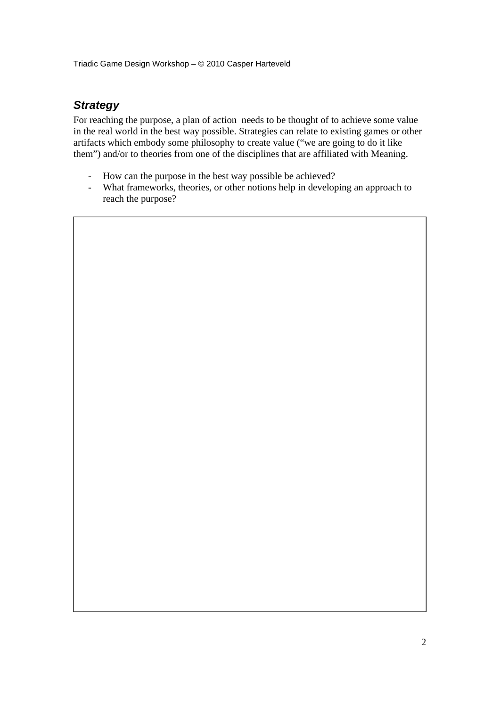Triadic Game Design Workshop – © 2010 Casper Harteveld

#### *Strategy*

For reaching the purpose, a plan of action needs to be thought of to achieve some value in the real world in the best way possible. Strategies can relate to existing games or other artifacts which embody some philosophy to create value ("we are going to do it like them") and/or to theories from one of the disciplines that are affiliated with Meaning.

- How can the purpose in the best way possible be achieved?
- What frameworks, theories, or other notions help in developing an approach to reach the purpose?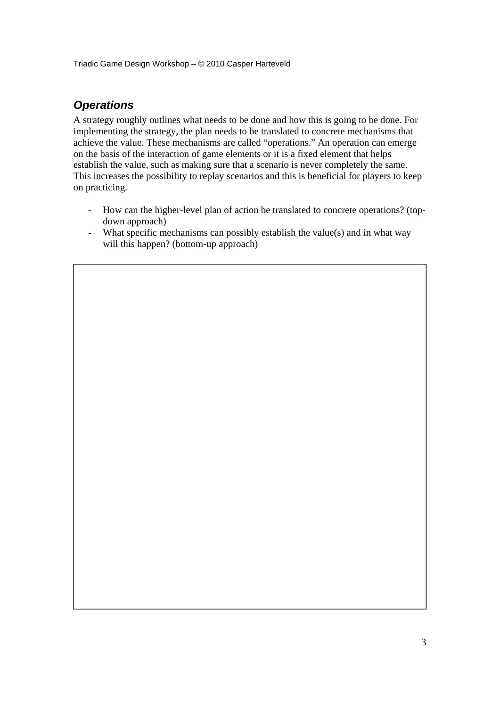Triadic Game Design Workshop – © 2010 Casper Harteveld

## *Operations*

A strategy roughly outlines what needs to be done and how this is going to be done. For implementing the strategy, the plan needs to be translated to concrete mechanisms that achieve the value. These mechanisms are called "operations." An operation can emerge on the basis of the interaction of game elements or it is a fixed element that helps establish the value, such as making sure that a scenario is never completely the same. This increases the possibility to replay scenarios and this is beneficial for players to keep on practicing.

- How can the higher-level plan of action be translated to concrete operations? (topdown approach)
- What specific mechanisms can possibly establish the value(s) and in what way will this happen? (bottom-up approach)